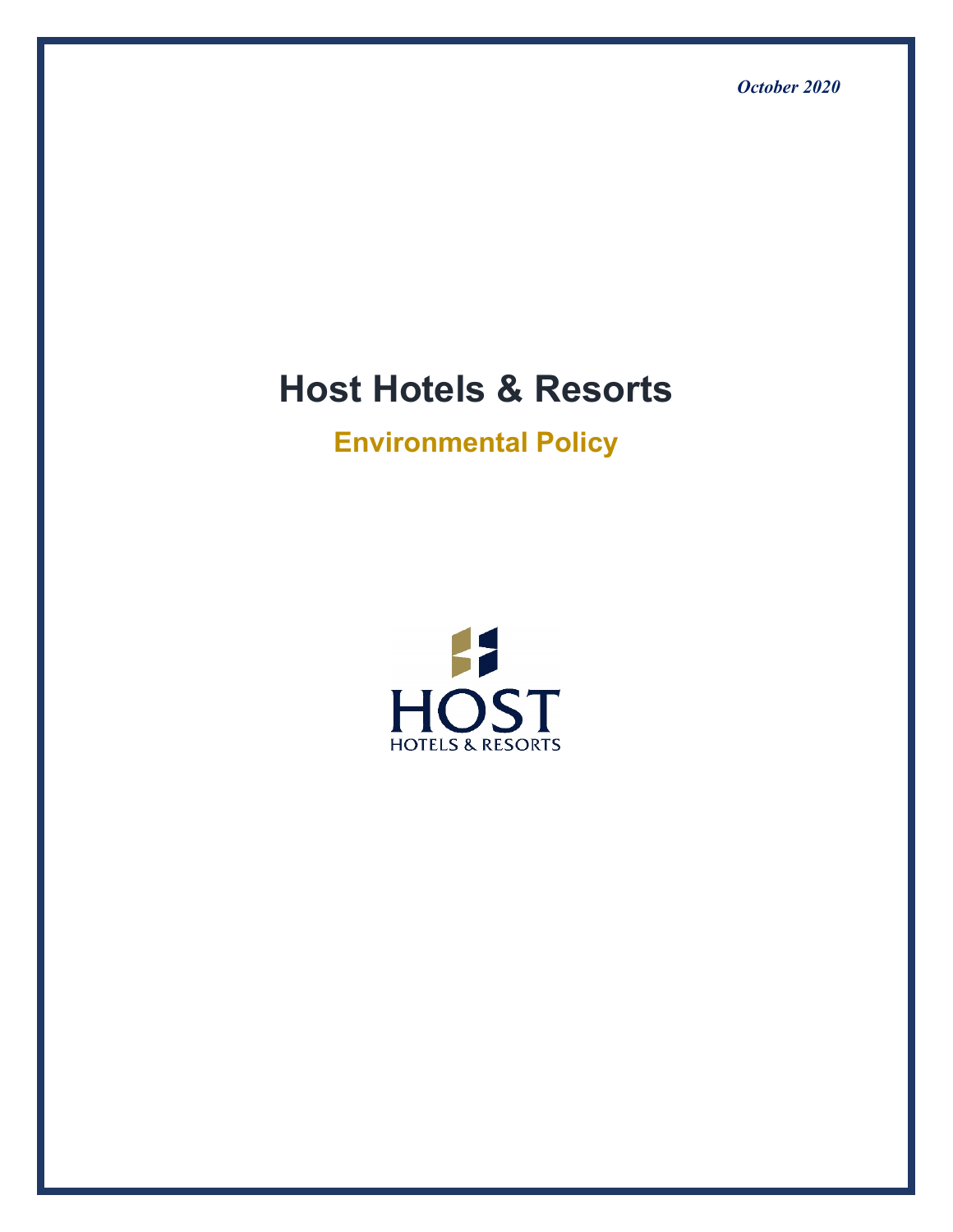*October 2020*

# **Host Hotels & Resorts**

**Environmental Policy**

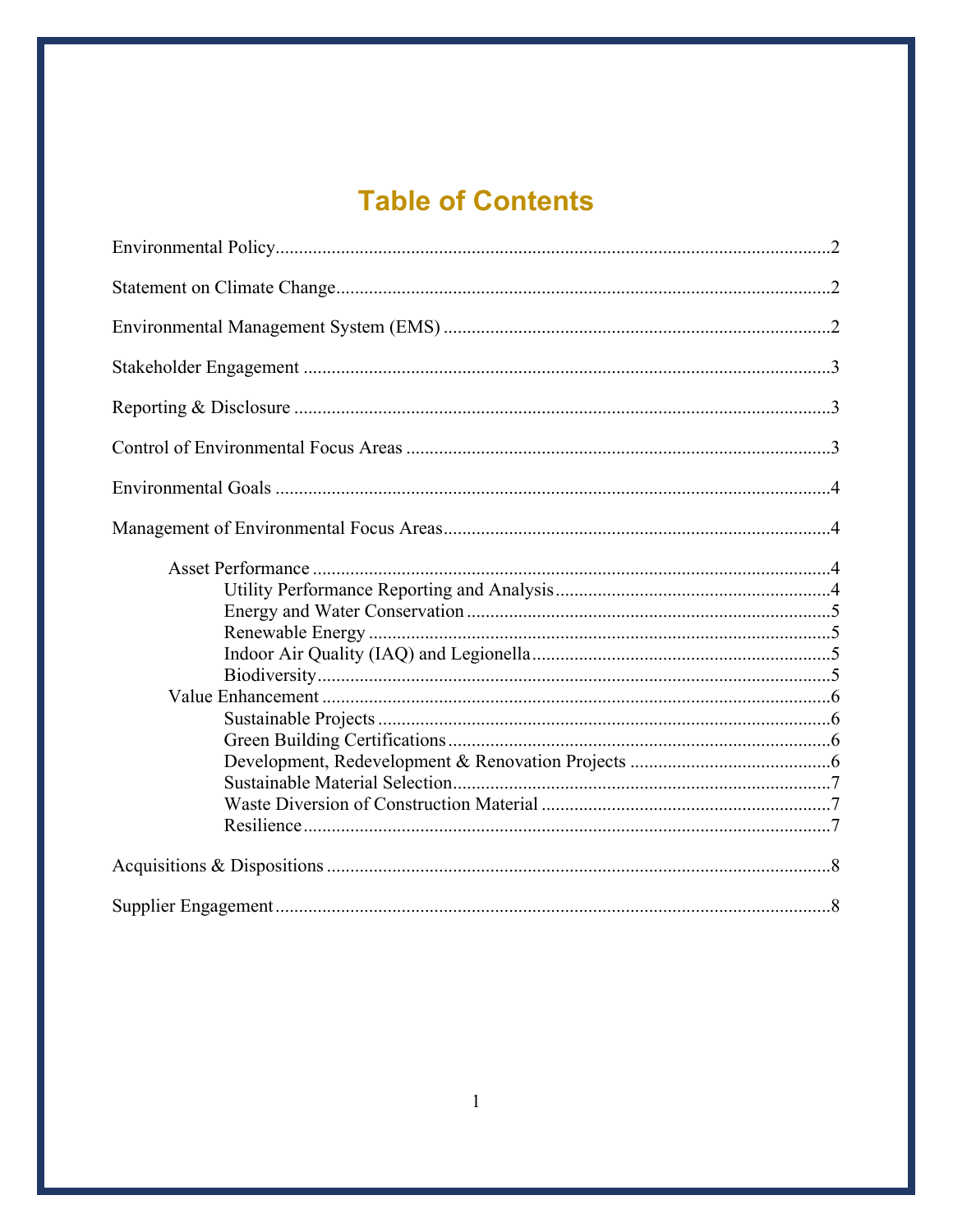# **Table of Contents**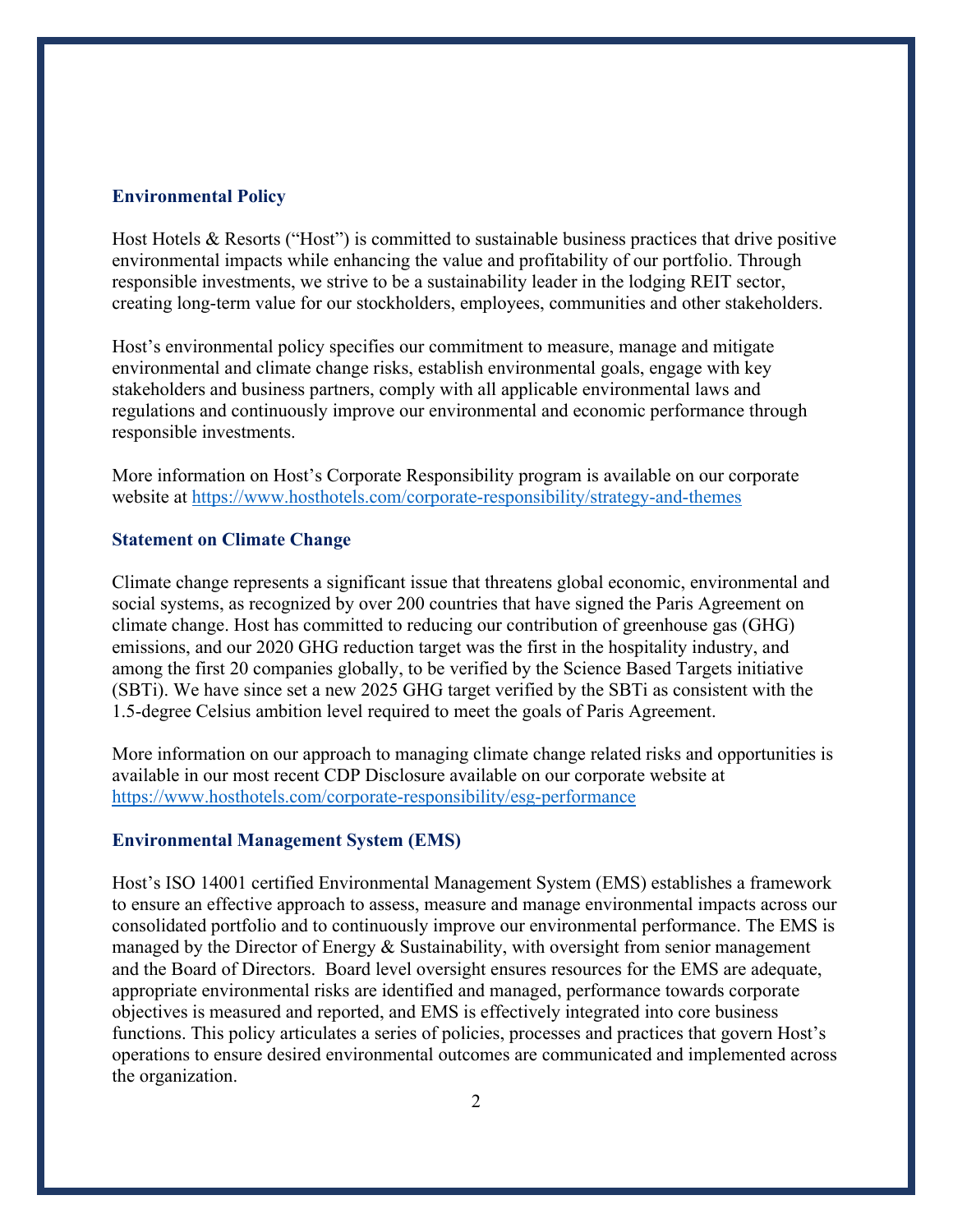# <span id="page-2-0"></span>**Environmental Policy**

Host Hotels & Resorts ("Host") is committed to sustainable business practices that drive positive environmental impacts while enhancing the value and profitability of our portfolio. Through responsible investments, we strive to be a sustainability leader in the lodging REIT sector, creating long-term value for our stockholders, employees, communities and other stakeholders.

Host's environmental policy specifies our commitment to measure, manage and mitigate environmental and climate change risks, establish environmental goals, engage with key stakeholders and business partners, comply with all applicable environmental laws and regulations and continuously improve our environmental and economic performance through responsible investments.

More information on Host's Corporate Responsibility program is available on our corporate website at<https://www.hosthotels.com/corporate-responsibility/strategy-and-themes>

# <span id="page-2-1"></span>**Statement on Climate Change**

Climate change represents a significant issue that threatens global economic, environmental and social systems, as recognized by over 200 countries that have signed the Paris Agreement on climate change. Host has committed to reducing our contribution of greenhouse gas (GHG) emissions, and our 2020 GHG reduction target was the first in the hospitality industry, and among the first 20 companies globally, to be verified by the Science Based Targets initiative (SBTi). We have since set a new 2025 GHG target verified by the SBTi as consistent with the 1.5-degree Celsius ambition level required to meet the goals of Paris Agreement.

More information on our approach to managing climate change related risks and opportunities is available in our most recent CDP Disclosure available on our corporate website at <https://www.hosthotels.com/corporate-responsibility/esg-performance>

# <span id="page-2-2"></span>**Environmental Management System (EMS)**

Host's ISO 14001 certified Environmental Management System (EMS) establishes a framework to ensure an effective approach to assess, measure and manage environmental impacts across our consolidated portfolio and to continuously improve our environmental performance. The EMS is managed by the Director of Energy & Sustainability, with oversight from senior management and the Board of Directors. Board level oversight ensures resources for the EMS are adequate, appropriate environmental risks are identified and managed, performance towards corporate objectives is measured and reported, and EMS is effectively integrated into core business functions. This policy articulates a series of policies, processes and practices that govern Host's operations to ensure desired environmental outcomes are communicated and implemented across the organization.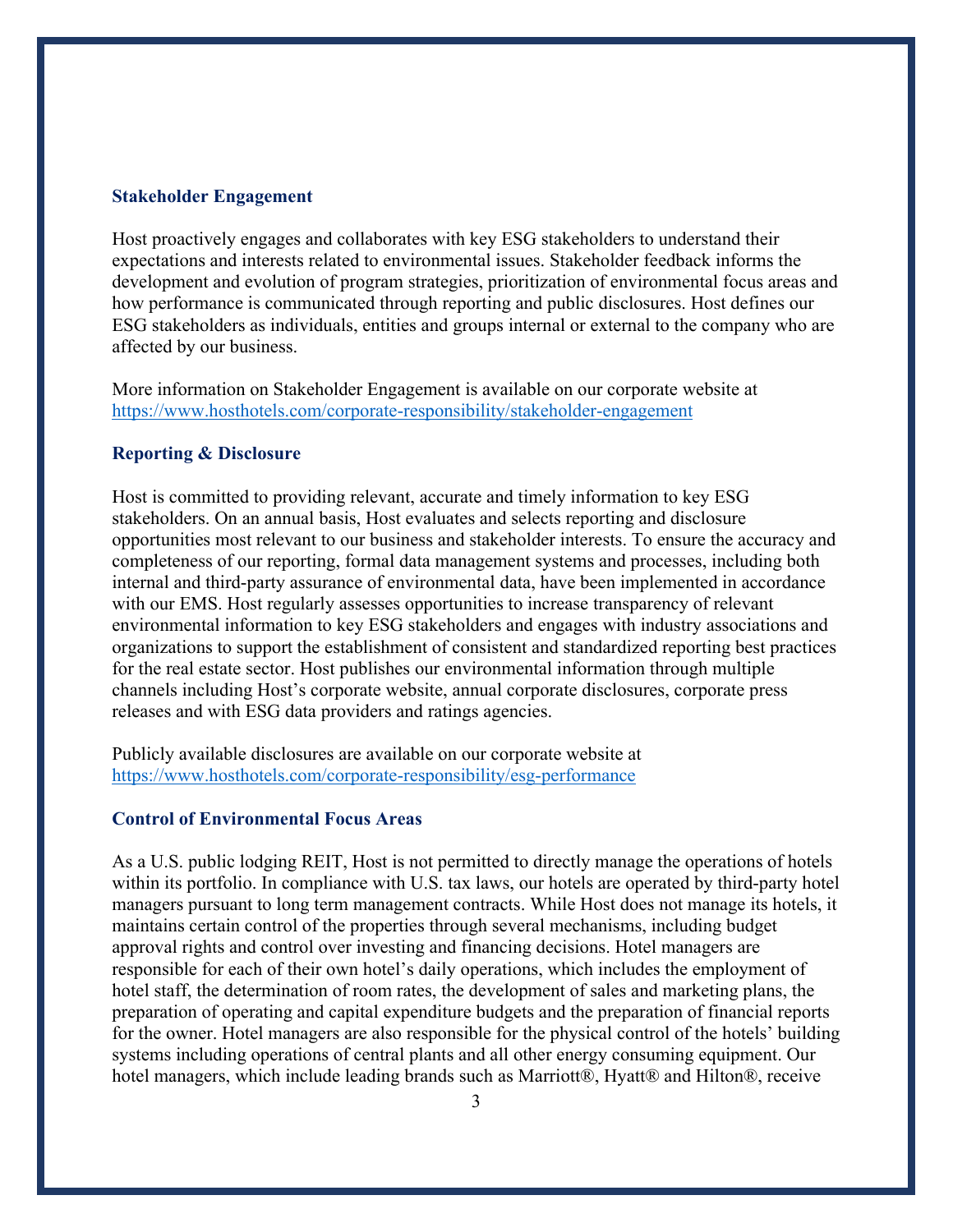#### <span id="page-3-0"></span>**Stakeholder Engagement**

Host proactively engages and collaborates with key ESG stakeholders to understand their expectations and interests related to environmental issues. Stakeholder feedback informs the development and evolution of program strategies, prioritization of environmental focus areas and how performance is communicated through reporting and public disclosures. Host defines our ESG stakeholders as individuals, entities and groups internal or external to the company who are affected by our business.

More information on Stakeholder Engagement is available on our corporate website at <https://www.hosthotels.com/corporate-responsibility/stakeholder-engagement>

# <span id="page-3-1"></span>**Reporting & Disclosure**

Host is committed to providing relevant, accurate and timely information to key ESG stakeholders. On an annual basis, Host evaluates and selects reporting and disclosure opportunities most relevant to our business and stakeholder interests. To ensure the accuracy and completeness of our reporting, formal data management systems and processes, including both internal and third-party assurance of environmental data, have been implemented in accordance with our EMS. Host regularly assesses opportunities to increase transparency of relevant environmental information to key ESG stakeholders and engages with industry associations and organizations to support the establishment of consistent and standardized reporting best practices for the real estate sector. Host publishes our environmental information through multiple channels including Host's corporate website, annual corporate disclosures, corporate press releases and with ESG data providers and ratings agencies.

Publicly available disclosures are available on our corporate website at <https://www.hosthotels.com/corporate-responsibility/esg-performance>

# <span id="page-3-2"></span>**Control of Environmental Focus Areas**

As a U.S. public lodging REIT, Host is not permitted to directly manage the operations of hotels within its portfolio. In compliance with U.S. tax laws, our hotels are operated by third-party hotel managers pursuant to long term management contracts. While Host does not manage its hotels, it maintains certain control of the properties through several mechanisms, including budget approval rights and control over investing and financing decisions. Hotel managers are responsible for each of their own hotel's daily operations, which includes the employment of hotel staff, the determination of room rates, the development of sales and marketing plans, the preparation of operating and capital expenditure budgets and the preparation of financial reports for the owner. Hotel managers are also responsible for the physical control of the hotels' building systems including operations of central plants and all other energy consuming equipment. Our hotel managers, which include leading brands such as Marriott®, Hyatt® and Hilton®, receive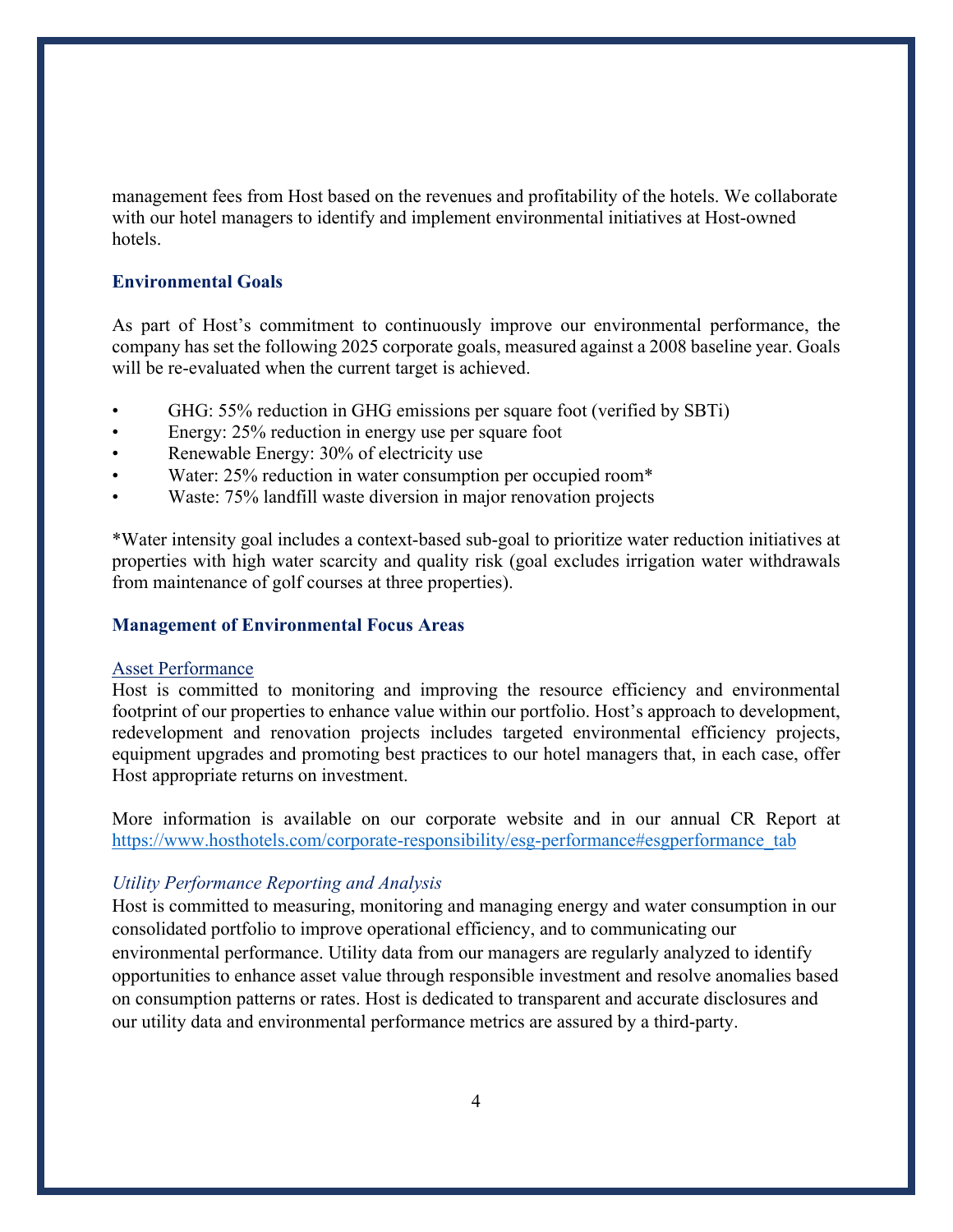management fees from Host based on the revenues and profitability of the hotels. We collaborate with our hotel managers to identify and implement environmental initiatives at Host-owned hotels.

# <span id="page-4-0"></span>**Environmental Goals**

As part of Host's commitment to continuously improve our environmental performance, the company has set the following 2025 corporate goals, measured against a 2008 baseline year. Goals will be re-evaluated when the current target is achieved.

- GHG: 55% reduction in GHG emissions per square foot (verified by SBTi)
- Energy: 25% reduction in energy use per square foot
- Renewable Energy: 30% of electricity use
- Water: 25% reduction in water consumption per occupied room\*
- Waste: 75% landfill waste diversion in major renovation projects

\*Water intensity goal includes a context-based sub-goal to prioritize water reduction initiatives at properties with high water scarcity and quality risk (goal excludes irrigation water withdrawals from maintenance of golf courses at three properties).

# <span id="page-4-1"></span>**Management of Environmental Focus Areas**

#### <span id="page-4-2"></span>Asset Performance

Host is committed to monitoring and improving the resource efficiency and environmental footprint of our properties to enhance value within our portfolio. Host's approach to development, redevelopment and renovation projects includes targeted environmental efficiency projects, equipment upgrades and promoting best practices to our hotel managers that, in each case, offer Host appropriate returns on investment.

More information is available on our corporate website and in our annual CR Report at [https://www.hosthotels.com/corporate-responsibility/esg-performance#esgperformance\\_tab](https://www.hosthotels.com/corporate-responsibility/esg-performance#esgperformance_tab)

# <span id="page-4-3"></span>*Utility Performance Reporting and Analysis*

Host is committed to measuring, monitoring and managing energy and water consumption in our consolidated portfolio to improve operational efficiency, and to communicating our environmental performance. Utility data from our managers are regularly analyzed to identify opportunities to enhance asset value through responsible investment and resolve anomalies based on consumption patterns or rates. Host is dedicated to transparent and accurate disclosures and our utility data and environmental performance metrics are assured by a third-party.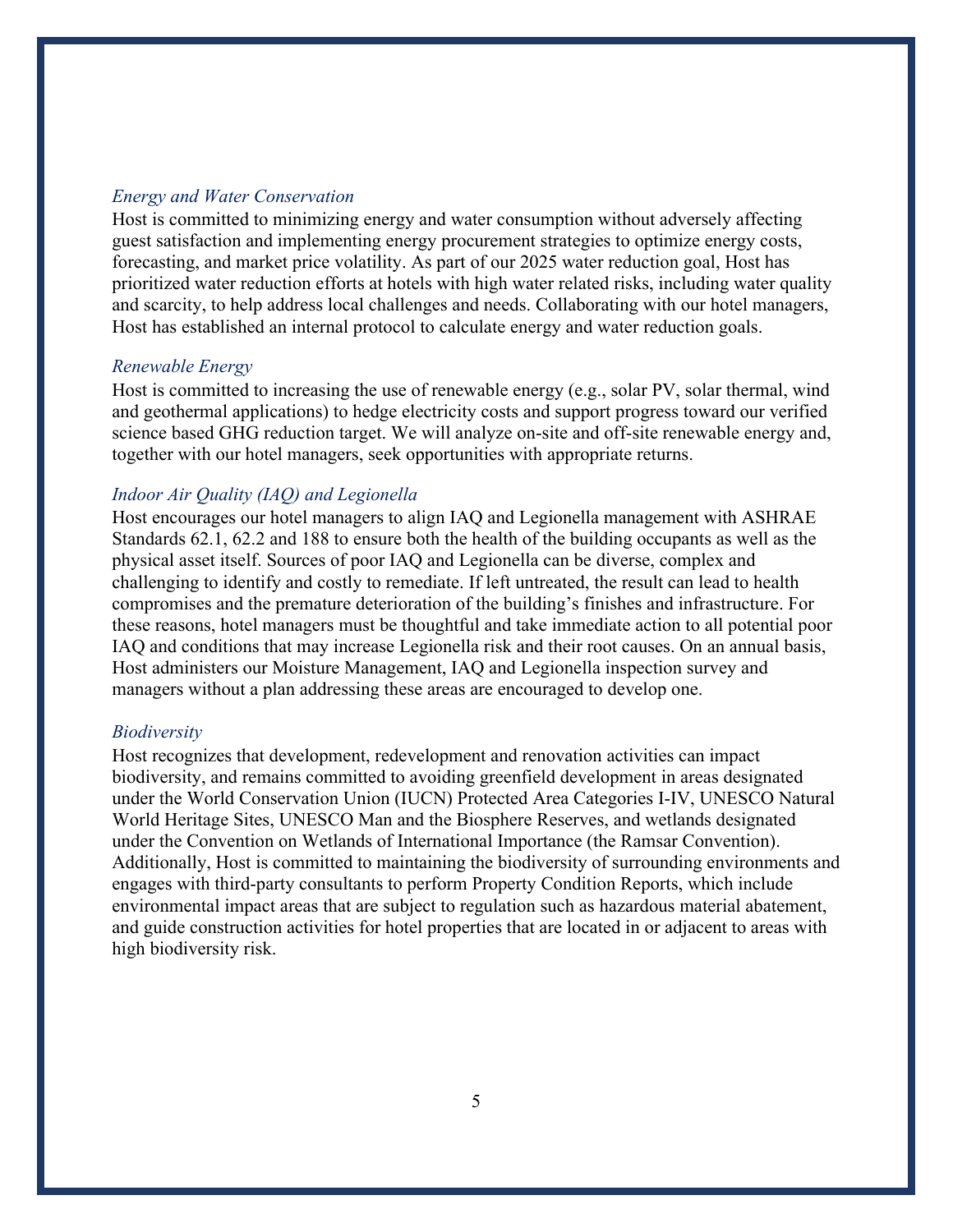#### <span id="page-5-0"></span>*Energy and Water Conservation*

Host is committed to minimizing energy and water consumption without adversely affecting guest satisfaction and implementing energy procurement strategies to optimize energy costs, forecasting, and market price volatility. As part of our 2025 water reduction goal, Host has prioritized water reduction efforts at hotels with high water related risks, including water quality and scarcity, to help address local challenges and needs. Collaborating with our hotel managers, Host has established an internal protocol to calculate energy and water reduction goals.

#### <span id="page-5-1"></span>*Renewable Energy*

Host is committed to increasing the use of renewable energy (e.g., solar PV, solar thermal, wind and geothermal applications) to hedge electricity costs and support progress toward our verified science based GHG reduction target. We will analyze on-site and off-site renewable energy and, together with our hotel managers, seek opportunities with appropriate returns.

#### <span id="page-5-2"></span>*Indoor Air Quality (IAQ) and Legionella*

Host encourages our hotel managers to align IAQ and Legionella management with ASHRAE Standards 62.1, 62.2 and 188 to ensure both the health of the building occupants as well as the physical asset itself. Sources of poor IAQ and Legionella can be diverse, complex and challenging to identify and costly to remediate. If left untreated, the result can lead to health compromises and the premature deterioration of the building's finishes and infrastructure. For these reasons, hotel managers must be thoughtful and take immediate action to all potential poor IAQ and conditions that may increase Legionella risk and their root causes. On an annual basis, Host administers our Moisture Management, IAQ and Legionella inspection survey and managers without a plan addressing these areas are encouraged to develop one.

#### <span id="page-5-3"></span>*Biodiversity*

Host recognizes that development, redevelopment and renovation activities can impact biodiversity, and remains committed to avoiding greenfield development in areas designated under the World Conservation Union (IUCN) Protected Area Categories I-IV, UNESCO Natural World Heritage Sites, UNESCO Man and the Biosphere Reserves, and wetlands designated under the Convention on Wetlands of International Importance (the Ramsar Convention). Additionally, Host is committed to maintaining the biodiversity of surrounding environments and engages with third-party consultants to perform Property Condition Reports, which include environmental impact areas that are subject to regulation such as hazardous material abatement, and guide construction activities for hotel properties that are located in or adjacent to areas with high biodiversity risk.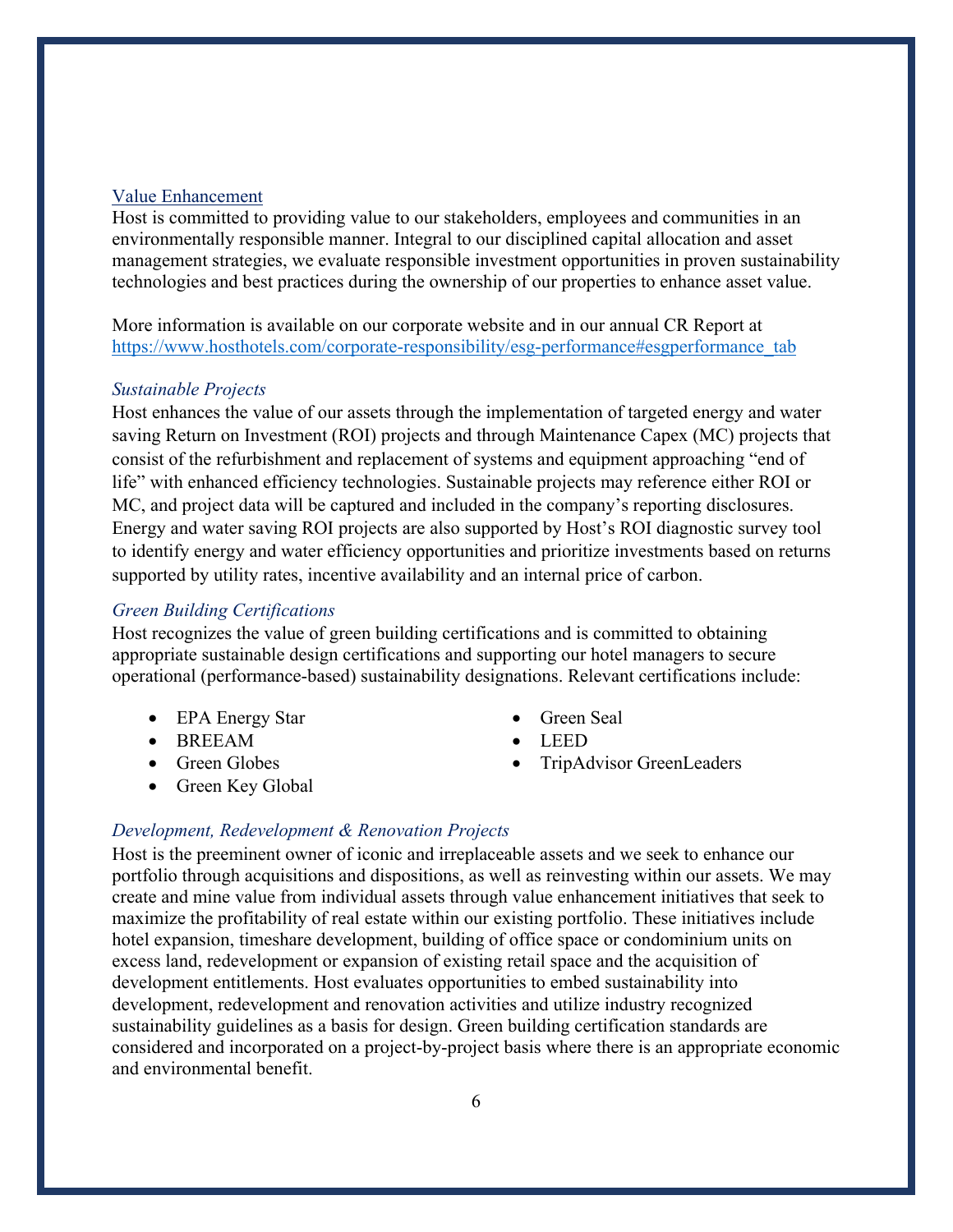# <span id="page-6-0"></span>Value Enhancement

Host is committed to providing value to our stakeholders, employees and communities in an environmentally responsible manner. Integral to our disciplined capital allocation and asset management strategies, we evaluate responsible investment opportunities in proven sustainability technologies and best practices during the ownership of our properties to enhance asset value.

More information is available on our corporate website and in our annual CR Report at [https://www.hosthotels.com/corporate-responsibility/esg-performance#esgperformance\\_tab](https://www.hosthotels.com/corporate-responsibility/esg-performance#esgperformance_tab)

#### <span id="page-6-1"></span>*Sustainable Projects*

Host enhances the value of our assets through the implementation of targeted energy and water saving Return on Investment (ROI) projects and through Maintenance Capex (MC) projects that consist of the refurbishment and replacement of systems and equipment approaching "end of life" with enhanced efficiency technologies. Sustainable projects may reference either ROI or MC, and project data will be captured and included in the company's reporting disclosures. Energy and water saving ROI projects are also supported by Host's ROI diagnostic survey tool to identify energy and water efficiency opportunities and prioritize investments based on returns supported by utility rates, incentive availability and an internal price of carbon.

# <span id="page-6-2"></span>*Green Building Certifications*

Host recognizes the value of green building certifications and is committed to obtaining appropriate sustainable design certifications and supporting our hotel managers to secure operational (performance-based) sustainability designations. Relevant certifications include:

- EPA Energy Star
- BREEAM
- Green Globes
- Green Key Global
- Green Seal
- LEED
- TripAdvisor GreenLeaders

#### <span id="page-6-3"></span>*Development, Redevelopment & Renovation Projects*

Host is the preeminent owner of iconic and irreplaceable assets and we seek to enhance our portfolio through acquisitions and dispositions, as well as reinvesting within our assets. We may create and mine value from individual assets through value enhancement initiatives that seek to maximize the profitability of real estate within our existing portfolio. These initiatives include hotel expansion, timeshare development, building of office space or condominium units on excess land, redevelopment or expansion of existing retail space and the acquisition of development entitlements. Host evaluates opportunities to embed sustainability into development, redevelopment and renovation activities and utilize industry recognized sustainability guidelines as a basis for design. Green building certification standards are considered and incorporated on a project-by-project basis where there is an appropriate economic and environmental benefit.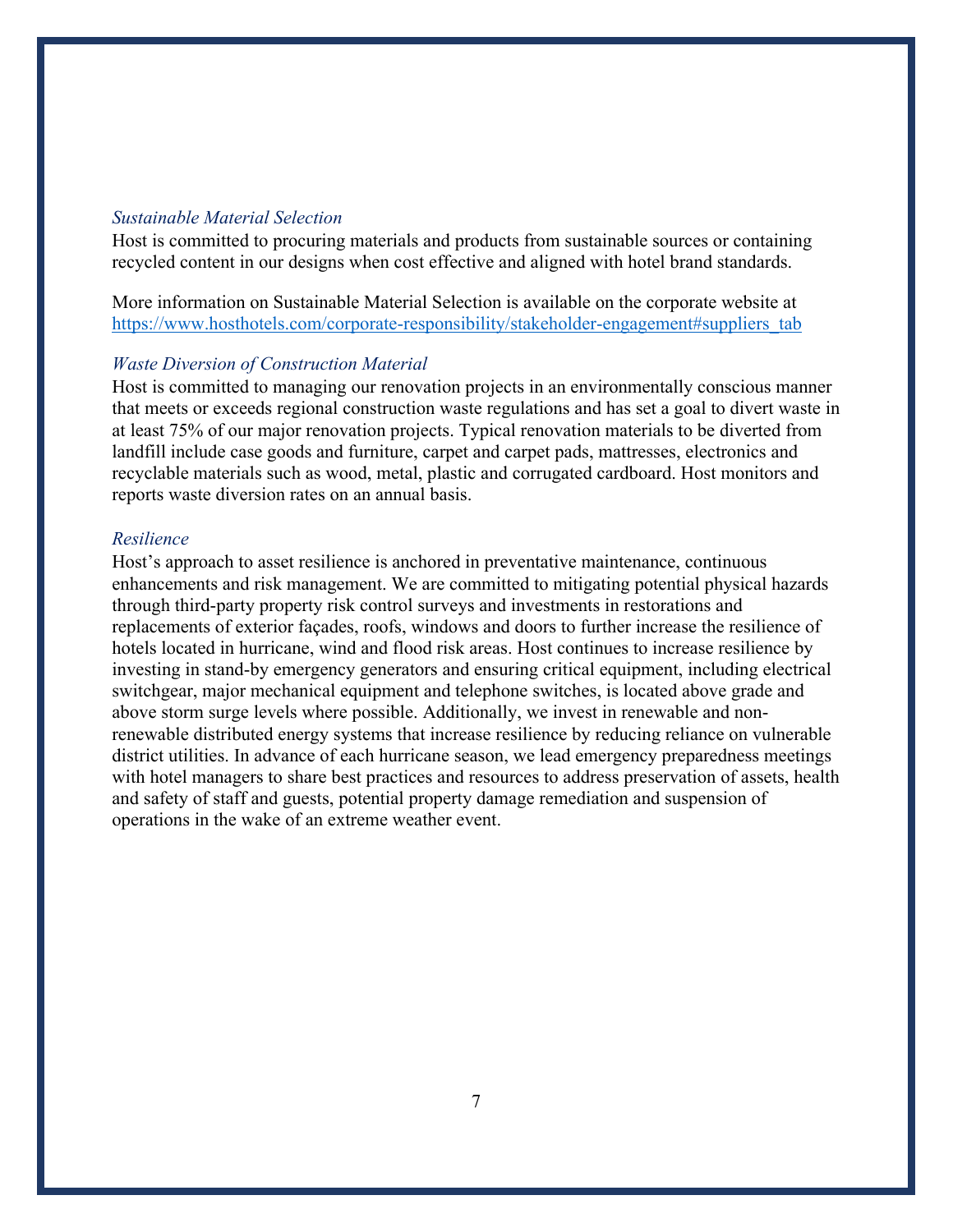#### <span id="page-7-0"></span>*Sustainable Material Selection*

Host is committed to procuring materials and products from sustainable sources or containing recycled content in our designs when cost effective and aligned with hotel brand standards.

More information on Sustainable Material Selection is available on the corporate website at [https://www.hosthotels.com/corporate-responsibility/stakeholder-engagement#suppliers\\_tab](https://www.hosthotels.com/corporate-responsibility/stakeholder-engagement#suppliers_tab)

# <span id="page-7-1"></span>*Waste Diversion of Construction Material*

Host is committed to managing our renovation projects in an environmentally conscious manner that meets or exceeds regional construction waste regulations and has set a goal to divert waste in at least 75% of our major renovation projects. Typical renovation materials to be diverted from landfill include case goods and furniture, carpet and carpet pads, mattresses, electronics and recyclable materials such as wood, metal, plastic and corrugated cardboard. Host monitors and reports waste diversion rates on an annual basis.

#### <span id="page-7-2"></span>*Resilience*

Host's approach to asset resilience is anchored in preventative maintenance, continuous enhancements and risk management. We are committed to mitigating potential physical hazards through third-party property risk control surveys and investments in restorations and replacements of exterior façades, roofs, windows and doors to further increase the resilience of hotels located in hurricane, wind and flood risk areas. Host continues to increase resilience by investing in stand-by emergency generators and ensuring critical equipment, including electrical switchgear, major mechanical equipment and telephone switches, is located above grade and above storm surge levels where possible. Additionally, we invest in renewable and nonrenewable distributed energy systems that increase resilience by reducing reliance on vulnerable district utilities. In advance of each hurricane season, we lead emergency preparedness meetings with hotel managers to share best practices and resources to address preservation of assets, health and safety of staff and guests, potential property damage remediation and suspension of operations in the wake of an extreme weather event.